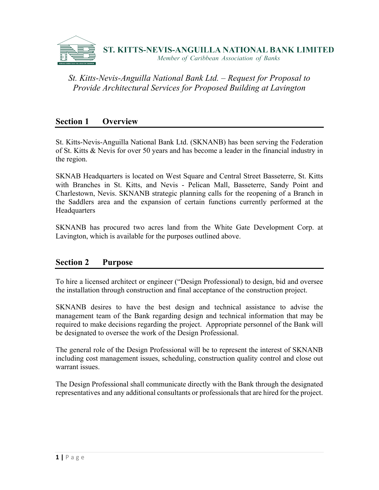

### **Section 1 Overview**

St. Kitts-Nevis-Anguilla National Bank Ltd. (SKNANB) has been serving the Federation of St. Kitts & Nevis for over 50 years and has become a leader in the financial industry in the region.

SKNAB Headquarters is located on West Square and Central Street Basseterre, St. Kitts with Branches in St. Kitts, and Nevis - Pelican Mall, Basseterre, Sandy Point and Charlestown, Nevis. SKNANB strategic planning calls for the reopening of a Branch in the Saddlers area and the expansion of certain functions currently performed at the **Headquarters** 

SKNANB has procured two acres land from the White Gate Development Corp. at Lavington, which is available for the purposes outlined above.

### **Section 2 Purpose**

To hire a licensed architect or engineer ("Design Professional) to design, bid and oversee the installation through construction and final acceptance of the construction project.

SKNANB desires to have the best design and technical assistance to advise the management team of the Bank regarding design and technical information that may be required to make decisions regarding the project. Appropriate personnel of the Bank will be designated to oversee the work of the Design Professional.

The general role of the Design Professional will be to represent the interest of SKNANB including cost management issues, scheduling, construction quality control and close out warrant issues.

The Design Professional shall communicate directly with the Bank through the designated representatives and any additional consultants or professionals that are hired for the project.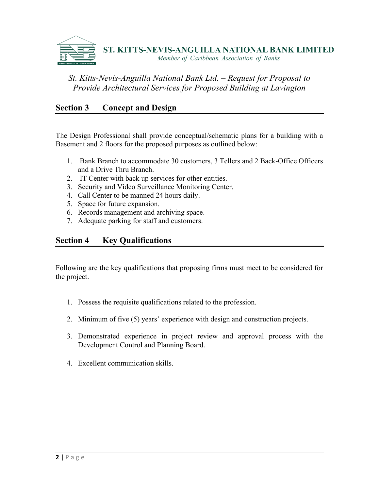

## **Section 3 Concept and Design**

The Design Professional shall provide conceptual/schematic plans for a building with a Basement and 2 floors for the proposed purposes as outlined below:

- 1. Bank Branch to accommodate 30 customers, 3 Tellers and 2 Back-Office Officers and a Drive Thru Branch.
- 2. IT Center with back up services for other entities.
- 3. Security and Video Surveillance Monitoring Center.
- 4. Call Center to be manned 24 hours daily.
- 5. Space for future expansion.
- 6. Records management and archiving space.
- 7. Adequate parking for staff and customers.

### **Section 4 Key Qualifications**

Following are the key qualifications that proposing firms must meet to be considered for the project.

- 1. Possess the requisite qualifications related to the profession.
- 2. Minimum of five (5) years' experience with design and construction projects.
- 3. Demonstrated experience in project review and approval process with the Development Control and Planning Board.
- 4. Excellent communication skills.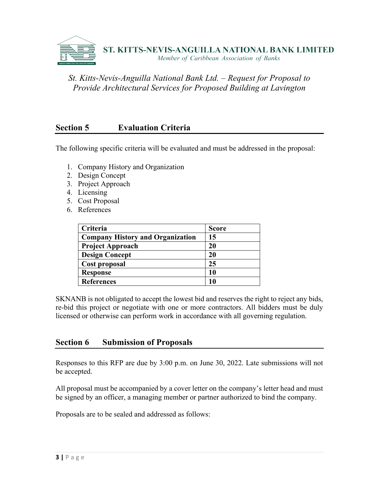

## **Section 5 Evaluation Criteria**

The following specific criteria will be evaluated and must be addressed in the proposal:

- 1. Company History and Organization
- 2. Design Concept
- 3. Project Approach
- 4. Licensing
- 5. Cost Proposal
- 6. References

| Criteria                                | <b>Score</b> |
|-----------------------------------------|--------------|
| <b>Company History and Organization</b> | 15           |
| <b>Project Approach</b>                 | 20           |
| <b>Design Concept</b>                   | 20           |
| Cost proposal                           | 25           |
| <b>Response</b>                         | 10           |
| <b>References</b>                       |              |

SKNANB is not obligated to accept the lowest bid and reserves the right to reject any bids, re-bid this project or negotiate with one or more contractors. All bidders must be duly licensed or otherwise can perform work in accordance with all governing regulation.

### **Section 6 Submission of Proposals**

Responses to this RFP are due by 3:00 p.m. on June 30, 2022. Late submissions will not be accepted.

All proposal must be accompanied by a cover letter on the company's letter head and must be signed by an officer, a managing member or partner authorized to bind the company.

Proposals are to be sealed and addressed as follows: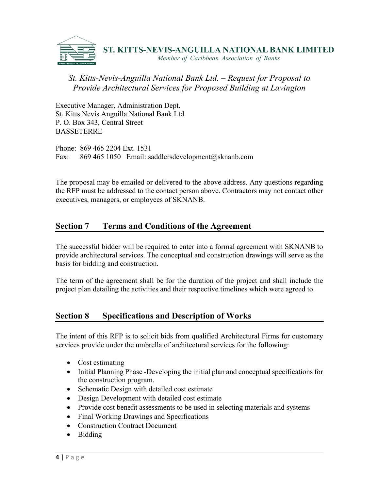

Executive Manager, Administration Dept. St. Kitts Nevis Anguilla National Bank Ltd. P. O. Box 343, Central Street **BASSETERRE** 

Phone: 869 465 2204 Ext. 1531 Fax: 869 465 1050 Email: saddlersdevelopment@sknanb.com

The proposal may be emailed or delivered to the above address. Any questions regarding the RFP must be addressed to the contact person above. Contractors may not contact other executives, managers, or employees of SKNANB.

## **Section 7 Terms and Conditions of the Agreement**

The successful bidder will be required to enter into a formal agreement with SKNANB to provide architectural services. The conceptual and construction drawings will serve as the basis for bidding and construction.

The term of the agreement shall be for the duration of the project and shall include the project plan detailing the activities and their respective timelines which were agreed to.

## **Section 8 Specifications and Description of Works**

The intent of this RFP is to solicit bids from qualified Architectural Firms for customary services provide under the umbrella of architectural services for the following:

- Cost estimating
- Initial Planning Phase -Developing the initial plan and conceptual specifications for the construction program.
- Schematic Design with detailed cost estimate
- Design Development with detailed cost estimate
- Provide cost benefit assessments to be used in selecting materials and systems
- Final Working Drawings and Specifications
- Construction Contract Document
- Bidding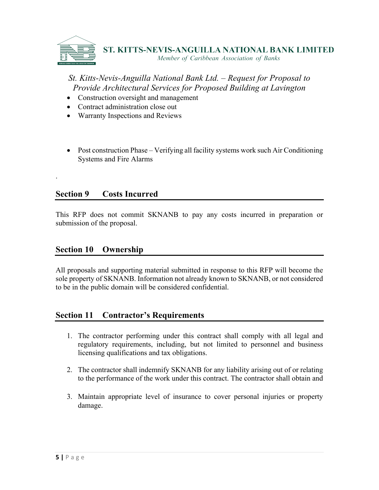

- Construction oversight and management
- Contract administration close out
- Warranty Inspections and Reviews
- Post construction Phase Verifying all facility systems work such Air Conditioning Systems and Fire Alarms

### **Section 9 Costs Incurred**

.

This RFP does not commit SKNANB to pay any costs incurred in preparation or submission of the proposal.

### **Section 10 Ownership**

All proposals and supporting material submitted in response to this RFP will become the sole property of SKNANB. Information not already known to SKNANB, or not considered to be in the public domain will be considered confidential.

### **Section 11 Contractor's Requirements**

- 1. The contractor performing under this contract shall comply with all legal and regulatory requirements, including, but not limited to personnel and business licensing qualifications and tax obligations.
- 2. The contractor shall indemnify SKNANB for any liability arising out of or relating to the performance of the work under this contract. The contractor shall obtain and
- 3. Maintain appropriate level of insurance to cover personal injuries or property damage.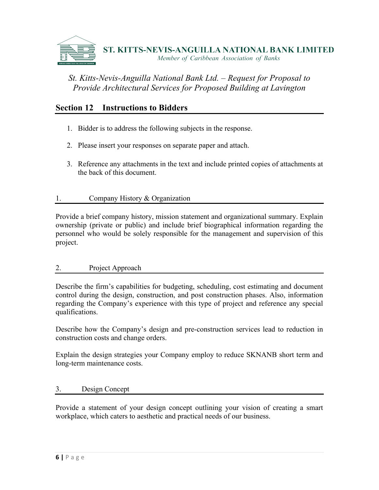

## **Section 12 Instructions to Bidders**

- 1. Bidder is to address the following subjects in the response.
- 2. Please insert your responses on separate paper and attach.
- 3. Reference any attachments in the text and include printed copies of attachments at the back of this document.

### 1. Company History & Organization

Provide a brief company history, mission statement and organizational summary. Explain ownership (private or public) and include brief biographical information regarding the personnel who would be solely responsible for the management and supervision of this project.

### 2. Project Approach

Describe the firm's capabilities for budgeting, scheduling, cost estimating and document control during the design, construction, and post construction phases. Also, information regarding the Company's experience with this type of project and reference any special qualifications.

Describe how the Company's design and pre-construction services lead to reduction in construction costs and change orders.

Explain the design strategies your Company employ to reduce SKNANB short term and long-term maintenance costs.

### 3. Design Concept

Provide a statement of your design concept outlining your vision of creating a smart workplace, which caters to aesthetic and practical needs of our business.